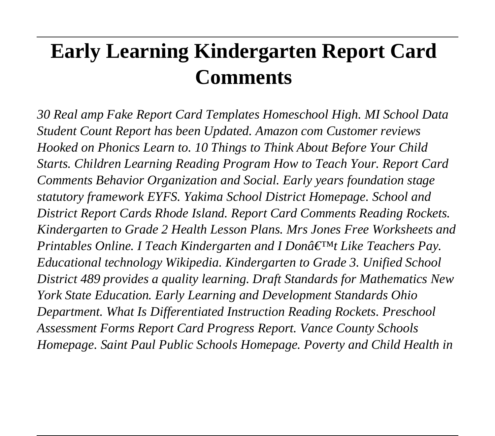# **Early Learning Kindergarten Report Card Comments**

*30 Real amp Fake Report Card Templates Homeschool High. MI School Data Student Count Report has been Updated. Amazon com Customer reviews Hooked on Phonics Learn to. 10 Things to Think About Before Your Child Starts. Children Learning Reading Program How to Teach Your. Report Card Comments Behavior Organization and Social. Early years foundation stage statutory framework EYFS. Yakima School District Homepage. School and District Report Cards Rhode Island. Report Card Comments Reading Rockets. Kindergarten to Grade 2 Health Lesson Plans. Mrs Jones Free Worksheets and Printables Online. I Teach Kindergarten and I Don't Like Teachers Pay. Educational technology Wikipedia. Kindergarten to Grade 3. Unified School District 489 provides a quality learning. Draft Standards for Mathematics New York State Education. Early Learning and Development Standards Ohio Department. What Is Differentiated Instruction Reading Rockets. Preschool Assessment Forms Report Card Progress Report. Vance County Schools Homepage. Saint Paul Public Schools Homepage. Poverty and Child Health in*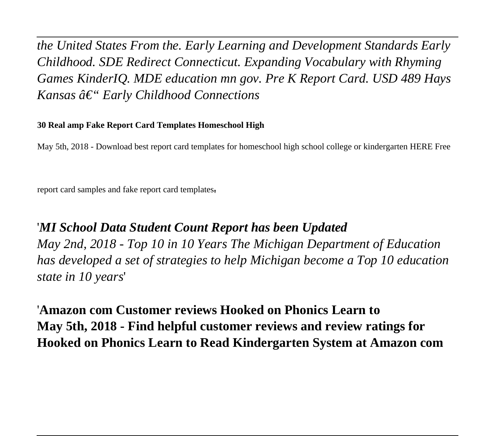*the United States From the. Early Learning and Development Standards Early Childhood. SDE Redirect Connecticut. Expanding Vocabulary with Rhyming Games KinderIQ. MDE education mn gov. Pre K Report Card. USD 489 Hays Kansas â€*" *Early Childhood Connections* 

#### **30 Real amp Fake Report Card Templates Homeschool High**

May 5th, 2018 - Download best report card templates for homeschool high school college or kindergarten HERE Free

report card samples and fake report card templates'

## '*MI School Data Student Count Report has been Updated*

*May 2nd, 2018 - Top 10 in 10 Years The Michigan Department of Education has developed a set of strategies to help Michigan become a Top 10 education state in 10 years*'

'**Amazon com Customer reviews Hooked on Phonics Learn to May 5th, 2018 - Find helpful customer reviews and review ratings for Hooked on Phonics Learn to Read Kindergarten System at Amazon com**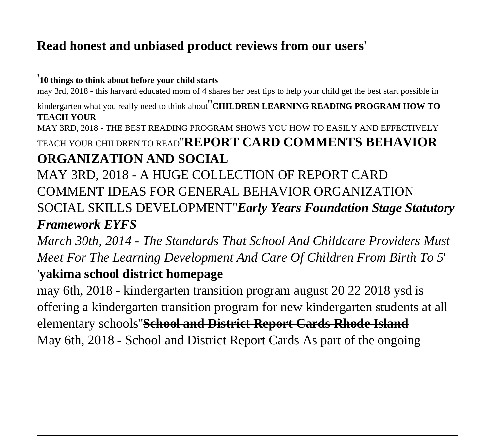# **Read honest and unbiased product reviews from our users**'

#### '**10 things to think about before your child starts**

may 3rd, 2018 - this harvard educated mom of 4 shares her best tips to help your child get the best start possible in

kindergarten what you really need to think about''**CHILDREN LEARNING READING PROGRAM HOW TO TEACH YOUR**

MAY 3RD, 2018 - THE BEST READING PROGRAM SHOWS YOU HOW TO EASILY AND EFFECTIVELY

TEACH YOUR CHILDREN TO READ''**REPORT CARD COMMENTS BEHAVIOR ORGANIZATION AND SOCIAL**

MAY 3RD, 2018 - A HUGE COLLECTION OF REPORT CARD COMMENT IDEAS FOR GENERAL BEHAVIOR ORGANIZATION SOCIAL SKILLS DEVELOPMENT''*Early Years Foundation Stage Statutory Framework EYFS*

*March 30th, 2014 - The Standards That School And Childcare Providers Must Meet For The Learning Development And Care Of Children From Birth To 5*'

### '**yakima school district homepage**

may 6th, 2018 - kindergarten transition program august 20 22 2018 ysd is offering a kindergarten transition program for new kindergarten students at all elementary schools''**School and District Report Cards Rhode Island** May 6th, 2018 - School and District Report Cards As part of the ongoing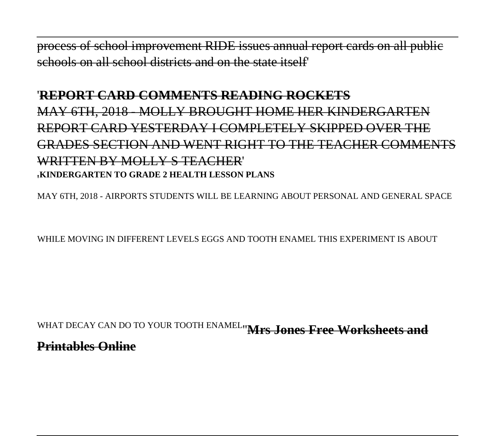process of school improvement RIDE issues annual report cards on all public schools on all school districts and on the state itself'

# '**REPORT CARD COMMENTS READING ROCKETS** MAY 6TH, 2018 - MOLLY BROUGHT HOME HER KINDERGARTEN REPORT CARD YESTERDAY I COMPLETELY SKIPPED OVER THE GRADES SECTION AND WENT RIGHT TO THE TEACHER COMMENTS WRITTEN BY MOLLY S TEACHER' '**KINDERGARTEN TO GRADE 2 HEALTH LESSON PLANS**

MAY 6TH, 2018 - AIRPORTS STUDENTS WILL BE LEARNING ABOUT PERSONAL AND GENERAL SPACE

WHILE MOVING IN DIFFERENT LEVELS EGGS AND TOOTH ENAMEL THIS EXPERIMENT IS ABOUT

WHAT DECAY CAN DO TO YOUR TOOTH ENAMEL''**Mrs Jones Free Worksheets and Printables Online**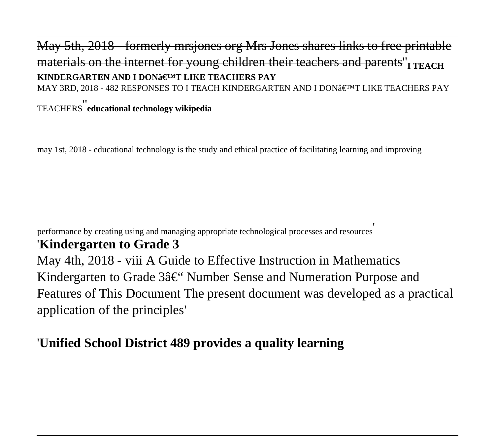### May 5th, 2018 - formerly mrsjones org Mrs Jones shares links to free printable materials on the internet for young children their teachers and parents<sup>"</sup><sub>I TEACH</sub> **KINDERGARTEN AND I DON<sup>3</sup>EIMT LIKE TEACHERS PAY** MAY 3RD, 2018 - 482 RESPONSES TO I TEACH KINDERGARTEN AND I DON $\hat{\mathfrak{s}} \in T^M$ T LIKE TEACHERS PAY TEACHERS''**educational technology wikipedia**

may 1st, 2018 - educational technology is the study and ethical practice of facilitating learning and improving

performance by creating using and managing appropriate technological processes and resources'

#### '**Kindergarten to Grade 3**

May 4th, 2018 - viii A Guide to Effective Instruction in Mathematics Kindergarten to Grade 3– Number Sense and Numeration Purpose and Features of This Document The present document was developed as a practical application of the principles'

#### '**Unified School District 489 provides a quality learning**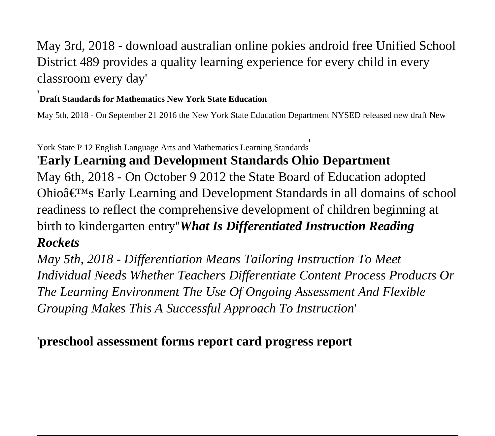# May 3rd, 2018 - download australian online pokies android free Unified School District 489 provides a quality learning experience for every child in every classroom every day'

#### '**Draft Standards for Mathematics New York State Education**

May 5th, 2018 - On September 21 2016 the New York State Education Department NYSED released new draft New

York State P 12 English Language Arts and Mathematics Learning Standards'

# '**Early Learning and Development Standards Ohio Department**

May 6th, 2018 - On October 9 2012 the State Board of Education adopted Ohio $\hat{\mathbf{\alpha}} \in \mathbb{N}$  Early Learning and Development Standards in all domains of school readiness to reflect the comprehensive development of children beginning at birth to kindergarten entry''*What Is Differentiated Instruction Reading Rockets*

*May 5th, 2018 - Differentiation Means Tailoring Instruction To Meet Individual Needs Whether Teachers Differentiate Content Process Products Or The Learning Environment The Use Of Ongoing Assessment And Flexible Grouping Makes This A Successful Approach To Instruction*'

#### '**preschool assessment forms report card progress report**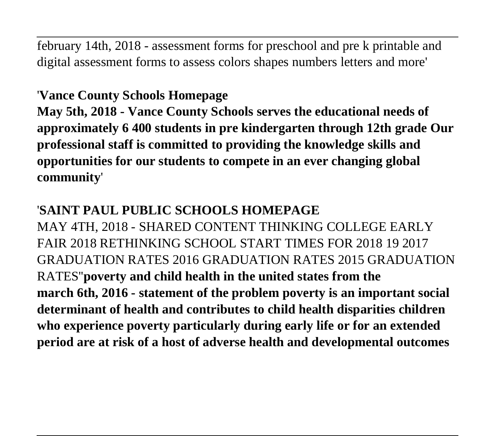february 14th, 2018 - assessment forms for preschool and pre k printable and digital assessment forms to assess colors shapes numbers letters and more'

# '**Vance County Schools Homepage**

**May 5th, 2018 - Vance County Schools serves the educational needs of approximately 6 400 students in pre kindergarten through 12th grade Our professional staff is committed to providing the knowledge skills and opportunities for our students to compete in an ever changing global community**'

# '**SAINT PAUL PUBLIC SCHOOLS HOMEPAGE**

MAY 4TH, 2018 - SHARED CONTENT THINKING COLLEGE EARLY FAIR 2018 RETHINKING SCHOOL START TIMES FOR 2018 19 2017 GRADUATION RATES 2016 GRADUATION RATES 2015 GRADUATION RATES''**poverty and child health in the united states from the march 6th, 2016 - statement of the problem poverty is an important social determinant of health and contributes to child health disparities children who experience poverty particularly during early life or for an extended period are at risk of a host of adverse health and developmental outcomes**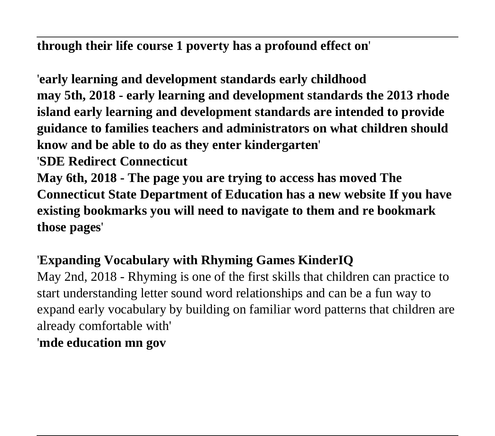**through their life course 1 poverty has a profound effect on**'

'**early learning and development standards early childhood may 5th, 2018 - early learning and development standards the 2013 rhode island early learning and development standards are intended to provide guidance to families teachers and administrators on what children should know and be able to do as they enter kindergarten**' '**SDE Redirect Connecticut May 6th, 2018 - The page you are trying to access has moved The Connecticut State Department of Education has a new website If you have existing bookmarks you will need to navigate to them and re bookmark those pages**'

# '**Expanding Vocabulary with Rhyming Games KinderIQ**

May 2nd, 2018 - Rhyming is one of the first skills that children can practice to start understanding letter sound word relationships and can be a fun way to expand early vocabulary by building on familiar word patterns that children are already comfortable with' '**mde education mn gov**